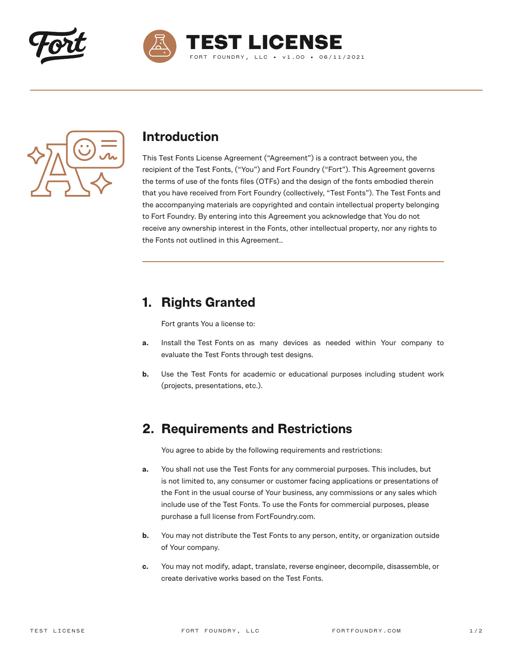





#### **Introduction**

This Test Fonts License Agreement ("Agreement") is a contract between you, the recipient of the Test Fonts, ("You") and Fort Foundry ("Fort"). This Agreement governs the terms of use of the fonts files (OTFs) and the design of the fonts embodied therein that you have received from Fort Foundry (collectively, "Test Fonts"). The Test Fonts and the accompanying materials are copyrighted and contain intellectual property belonging to Fort Foundry. By entering into this Agreement you acknowledge that You do not receive any ownership interest in the Fonts, other intellectual property, nor any rights to the Fonts not outlined in this Agreement..

## **1. Rights Granted**

Fort grants You a license to:

- **a.** Install the Test Fonts on as many devices as needed within Your company to evaluate the Test Fonts through test designs.
- **b.** Use the Test Fonts for academic or educational purposes including student work (projects, presentations, etc.).

#### **2. Requirements and Restrictions**

You agree to abide by the following requirements and restrictions:

- **a.** You shall not use the Test Fonts for any commercial purposes. This includes, but is not limited to, any consumer or customer facing applications or presentations of the Font in the usual course of Your business, any commissions or any sales which include use of the Test Fonts. To use the Fonts for commercial purposes, please purchase a full license from FortFoundry.com.
- **b.** You may not distribute the Test Fonts to any person, entity, or organization outside of Your company.
- **c.** You may not modify, adapt, translate, reverse engineer, decompile, disassemble, or create derivative works based on the Test Fonts.